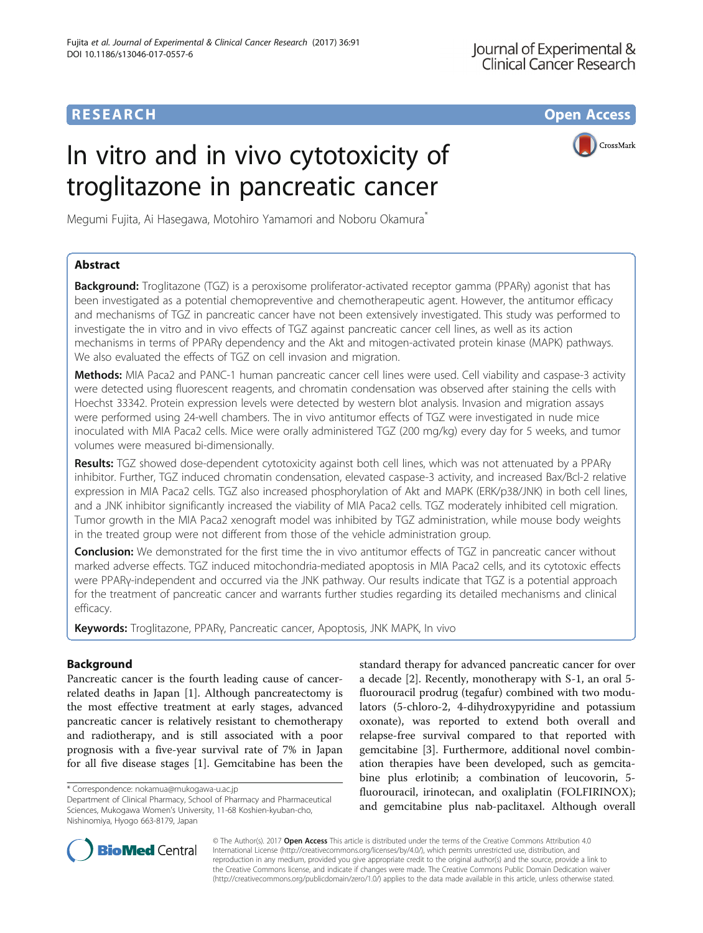## **RESEARCH CHE Open Access**

# In vitro and in vivo cytotoxicity of troglitazone in pancreatic cancer



Megumi Fujita, Ai Hasegawa, Motohiro Yamamori and Noboru Okamura\*

## Abstract

Background: Troglitazone (TGZ) is a peroxisome proliferator-activated receptor gamma (PPARy) agonist that has been investigated as a potential chemopreventive and chemotherapeutic agent. However, the antitumor efficacy and mechanisms of TGZ in pancreatic cancer have not been extensively investigated. This study was performed to investigate the in vitro and in vivo effects of TGZ against pancreatic cancer cell lines, as well as its action mechanisms in terms of PPARγ dependency and the Akt and mitogen-activated protein kinase (MAPK) pathways. We also evaluated the effects of TGZ on cell invasion and migration.

Methods: MIA Paca2 and PANC-1 human pancreatic cancer cell lines were used. Cell viability and caspase-3 activity were detected using fluorescent reagents, and chromatin condensation was observed after staining the cells with Hoechst 33342. Protein expression levels were detected by western blot analysis. Invasion and migration assays were performed using 24-well chambers. The in vivo antitumor effects of TGZ were investigated in nude mice inoculated with MIA Paca2 cells. Mice were orally administered TGZ (200 mg/kg) every day for 5 weeks, and tumor volumes were measured bi-dimensionally.

Results: TGZ showed dose-dependent cytotoxicity against both cell lines, which was not attenuated by a PPAR<sub>Y</sub> inhibitor. Further, TGZ induced chromatin condensation, elevated caspase-3 activity, and increased Bax/Bcl-2 relative expression in MIA Paca2 cells. TGZ also increased phosphorylation of Akt and MAPK (ERK/p38/JNK) in both cell lines, and a JNK inhibitor significantly increased the viability of MIA Paca2 cells. TGZ moderately inhibited cell migration. Tumor growth in the MIA Paca2 xenograft model was inhibited by TGZ administration, while mouse body weights in the treated group were not different from those of the vehicle administration group.

Conclusion: We demonstrated for the first time the in vivo antitumor effects of TGZ in pancreatic cancer without marked adverse effects. TGZ induced mitochondria-mediated apoptosis in MIA Paca2 cells, and its cytotoxic effects were PPARγ-independent and occurred via the JNK pathway. Our results indicate that TGZ is a potential approach for the treatment of pancreatic cancer and warrants further studies regarding its detailed mechanisms and clinical efficacy.

Keywords: Troglitazone, PPARy, Pancreatic cancer, Apoptosis, JNK MAPK, In vivo

## Background

Pancreatic cancer is the fourth leading cause of cancerrelated deaths in Japan [\[1](#page-8-0)]. Although pancreatectomy is the most effective treatment at early stages, advanced pancreatic cancer is relatively resistant to chemotherapy and radiotherapy, and is still associated with a poor prognosis with a five-year survival rate of 7% in Japan for all five disease stages [\[1](#page-8-0)]. Gemcitabine has been the

standard therapy for advanced pancreatic cancer for over a decade [[2\]](#page-8-0). Recently, monotherapy with S-1, an oral 5 fluorouracil prodrug (tegafur) combined with two modulators (5-chloro-2, 4-dihydroxypyridine and potassium oxonate), was reported to extend both overall and relapse-free survival compared to that reported with gemcitabine [\[3](#page-8-0)]. Furthermore, additional novel combination therapies have been developed, such as gemcitabine plus erlotinib; a combination of leucovorin, 5 fluorouracil, irinotecan, and oxaliplatin (FOLFIRINOX); and gemcitabine plus nab-paclitaxel. Although overall



© The Author(s). 2017 **Open Access** This article is distributed under the terms of the Creative Commons Attribution 4.0 International License [\(http://creativecommons.org/licenses/by/4.0/](http://creativecommons.org/licenses/by/4.0/)), which permits unrestricted use, distribution, and reproduction in any medium, provided you give appropriate credit to the original author(s) and the source, provide a link to the Creative Commons license, and indicate if changes were made. The Creative Commons Public Domain Dedication waiver [\(http://creativecommons.org/publicdomain/zero/1.0/](http://creativecommons.org/publicdomain/zero/1.0/)) applies to the data made available in this article, unless otherwise stated.

<sup>\*</sup> Correspondence: [nokamua@mukogawa-u.ac.jp](mailto:nokamua@mukogawa-u.ac.jp)

Department of Clinical Pharmacy, School of Pharmacy and Pharmaceutical Sciences, Mukogawa Women's University, 11-68 Koshien-kyuban-cho, Nishinomiya, Hyogo 663-8179, Japan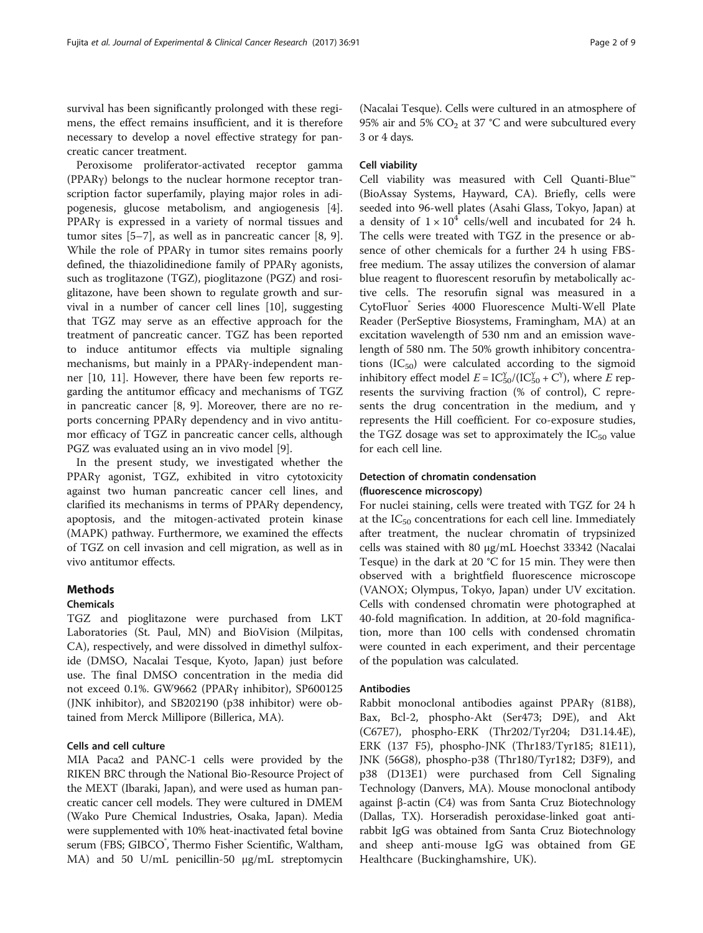survival has been significantly prolonged with these regimens, the effect remains insufficient, and it is therefore necessary to develop a novel effective strategy for pancreatic cancer treatment.

Peroxisome proliferator-activated receptor gamma (PPARγ) belongs to the nuclear hormone receptor transcription factor superfamily, playing major roles in adipogenesis, glucose metabolism, and angiogenesis [\[4](#page-8-0)]. PPARγ is expressed in a variety of normal tissues and tumor sites [\[5](#page-8-0)–[7](#page-8-0)], as well as in pancreatic cancer [[8, 9](#page-8-0)]. While the role of PPARγ in tumor sites remains poorly defined, the thiazolidinedione family of PPARγ agonists, such as troglitazone (TGZ), pioglitazone (PGZ) and rosiglitazone, have been shown to regulate growth and survival in a number of cancer cell lines [\[10\]](#page-8-0), suggesting that TGZ may serve as an effective approach for the treatment of pancreatic cancer. TGZ has been reported to induce antitumor effects via multiple signaling mechanisms, but mainly in a PPARγ-independent manner [[10](#page-8-0), [11\]](#page-8-0). However, there have been few reports regarding the antitumor efficacy and mechanisms of TGZ in pancreatic cancer [[8, 9](#page-8-0)]. Moreover, there are no reports concerning PPARγ dependency and in vivo antitumor efficacy of TGZ in pancreatic cancer cells, although PGZ was evaluated using an in vivo model [[9](#page-8-0)].

In the present study, we investigated whether the PPARγ agonist, TGZ, exhibited in vitro cytotoxicity against two human pancreatic cancer cell lines, and clarified its mechanisms in terms of PPARγ dependency, apoptosis, and the mitogen-activated protein kinase (MAPK) pathway. Furthermore, we examined the effects of TGZ on cell invasion and cell migration, as well as in vivo antitumor effects.

### Methods

#### Chemicals

TGZ and pioglitazone were purchased from LKT Laboratories (St. Paul, MN) and BioVision (Milpitas, CA), respectively, and were dissolved in dimethyl sulfoxide (DMSO, Nacalai Tesque, Kyoto, Japan) just before use. The final DMSO concentration in the media did not exceed 0.1%. GW9662 (PPARγ inhibitor), SP600125 (JNK inhibitor), and SB202190 (p38 inhibitor) were obtained from Merck Millipore (Billerica, MA).

## Cells and cell culture

MIA Paca2 and PANC-1 cells were provided by the RIKEN BRC through the National Bio-Resource Project of the MEXT (Ibaraki, Japan), and were used as human pancreatic cancer cell models. They were cultured in DMEM (Wako Pure Chemical Industries, Osaka, Japan). Media were supplemented with 10% heat-inactivated fetal bovine serum (FBS; GIBCO<sup>°</sup>, Thermo Fisher Scientific, Waltham, MA) and 50 U/mL penicillin-50 μg/mL streptomycin

(Nacalai Tesque). Cells were cultured in an atmosphere of 95% air and 5%  $CO<sub>2</sub>$  at 37 °C and were subcultured every 3 or 4 days.

## Cell viability

Cell viability was measured with Cell Quanti-Blue™ (BioAssay Systems, Hayward, CA). Briefly, cells were seeded into 96-well plates (Asahi Glass, Tokyo, Japan) at a density of  $1 \times 10^4$  cells/well and incubated for 24 h. The cells were treated with TGZ in the presence or absence of other chemicals for a further 24 h using FBSfree medium. The assay utilizes the conversion of alamar blue reagent to fluorescent resorufin by metabolically active cells. The resorufin signal was measured in a CytoFluor® Series 4000 Fluorescence Multi-Well Plate Reader (PerSeptive Biosystems, Framingham, MA) at an excitation wavelength of 530 nm and an emission wavelength of 580 nm. The 50% growth inhibitory concentrations  $(IC_{50})$  were calculated according to the sigmoid inhibitory effect model  $E = IC_{50}^y/(IC_{30}^y + C')$ , where E rep-<br>resents the surviving fraction (% of control) C repreresents the surviving fraction (% of control), C represents the drug concentration in the medium, and  $\gamma$ represents the Hill coefficient. For co-exposure studies, the TGZ dosage was set to approximately the  $IC_{50}$  value for each cell line.

## Detection of chromatin condensation (fluorescence microscopy)

For nuclei staining, cells were treated with TGZ for 24 h at the  $IC_{50}$  concentrations for each cell line. Immediately after treatment, the nuclear chromatin of trypsinized cells was stained with 80 μg/mL Hoechst 33342 (Nacalai Tesque) in the dark at 20  $\degree$ C for 15 min. They were then observed with a brightfield fluorescence microscope (VANOX; Olympus, Tokyo, Japan) under UV excitation. Cells with condensed chromatin were photographed at 40-fold magnification. In addition, at 20-fold magnification, more than 100 cells with condensed chromatin were counted in each experiment, and their percentage of the population was calculated.

#### Antibodies

Rabbit monoclonal antibodies against PPARγ (81B8), Bax, Bcl-2, phospho-Akt (Ser473; D9E), and Akt (C67E7), phospho-ERK (Thr202/Tyr204; D31.14.4E), ERK (137 F5), phospho-JNK (Thr183/Tyr185; 81E11), JNK (56G8), phospho-p38 (Thr180/Tyr182; D3F9), and p38 (D13E1) were purchased from Cell Signaling Technology (Danvers, MA). Mouse monoclonal antibody against β-actin (C4) was from Santa Cruz Biotechnology (Dallas, TX). Horseradish peroxidase-linked goat antirabbit IgG was obtained from Santa Cruz Biotechnology and sheep anti-mouse IgG was obtained from GE Healthcare (Buckinghamshire, UK).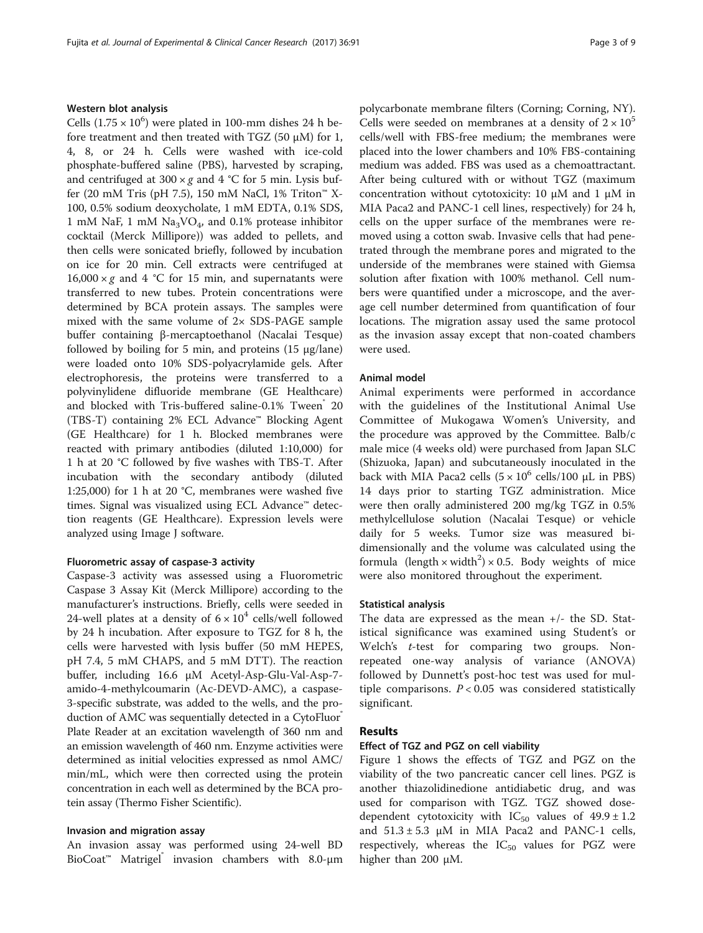## Western blot analysis

Cells  $(1.75 \times 10^6)$  were plated in 100-mm dishes 24 h before treatment and then treated with TGZ (50 μM) for 1, 4, 8, or 24 h. Cells were washed with ice-cold phosphate-buffered saline (PBS), harvested by scraping, and centrifuged at  $300 \times g$  and  $4 °C$  for 5 min. Lysis buffer (20 mM Tris (pH 7.5), 150 mM NaCl, 1% Triton™ X-100, 0.5% sodium deoxycholate, 1 mM EDTA, 0.1% SDS, 1 mM NaF, 1 mM Na<sub>3</sub>VO<sub>4</sub>, and 0.1% protease inhibitor cocktail (Merck Millipore)) was added to pellets, and then cells were sonicated briefly, followed by incubation on ice for 20 min. Cell extracts were centrifuged at  $16,000 \times g$  and 4 °C for 15 min, and supernatants were transferred to new tubes. Protein concentrations were determined by BCA protein assays. The samples were mixed with the same volume of 2× SDS-PAGE sample buffer containing β-mercaptoethanol (Nacalai Tesque) followed by boiling for 5 min, and proteins (15 μg/lane) were loaded onto 10% SDS-polyacrylamide gels. After electrophoresis, the proteins were transferred to a polyvinylidene difluoride membrane (GE Healthcare) and blocked with Tris-buffered saline-0.1% Tween<sup>®</sup> 20 (TBS-T) containing 2% ECL Advance™ Blocking Agent (GE Healthcare) for 1 h. Blocked membranes were reacted with primary antibodies (diluted 1:10,000) for 1 h at 20 °C followed by five washes with TBS-T. After incubation with the secondary antibody (diluted 1:25,000) for 1 h at 20 °C, membranes were washed five times. Signal was visualized using ECL Advance™ detection reagents (GE Healthcare). Expression levels were analyzed using Image J software.

### Fluorometric assay of caspase-3 activity

Caspase-3 activity was assessed using a Fluorometric Caspase 3 Assay Kit (Merck Millipore) according to the manufacturer's instructions. Briefly, cells were seeded in 24-well plates at a density of  $6 \times 10^4$  cells/well followed by 24 h incubation. After exposure to TGZ for 8 h, the cells were harvested with lysis buffer (50 mM HEPES, pH 7.4, 5 mM CHAPS, and 5 mM DTT). The reaction buffer, including 16.6 μM Acetyl-Asp-Glu-Val-Asp-7 amido-4-methylcoumarin (Ac-DEVD-AMC), a caspase-3-specific substrate, was added to the wells, and the production of AMC was sequentially detected in a CytoFluor® Plate Reader at an excitation wavelength of 360 nm and an emission wavelength of 460 nm. Enzyme activities were determined as initial velocities expressed as nmol AMC/ min/mL, which were then corrected using the protein concentration in each well as determined by the BCA protein assay (Thermo Fisher Scientific).

#### Invasion and migration assay

An invasion assay was performed using 24-well BD BioCoat™ Matrigel® invasion chambers with 8.0-μm polycarbonate membrane filters (Corning; Corning, NY). Cells were seeded on membranes at a density of  $2 \times 10^5$ cells/well with FBS-free medium; the membranes were placed into the lower chambers and 10% FBS-containing medium was added. FBS was used as a chemoattractant. After being cultured with or without TGZ (maximum concentration without cytotoxicity: 10 μM and 1 μM in MIA Paca2 and PANC-1 cell lines, respectively) for 24 h, cells on the upper surface of the membranes were removed using a cotton swab. Invasive cells that had penetrated through the membrane pores and migrated to the underside of the membranes were stained with Giemsa solution after fixation with 100% methanol. Cell numbers were quantified under a microscope, and the average cell number determined from quantification of four locations. The migration assay used the same protocol as the invasion assay except that non-coated chambers were used.

#### Animal model

Animal experiments were performed in accordance with the guidelines of the Institutional Animal Use Committee of Mukogawa Women's University, and the procedure was approved by the Committee. Balb/c male mice (4 weeks old) were purchased from Japan SLC (Shizuoka, Japan) and subcutaneously inoculated in the back with MIA Paca2 cells  $(5 \times 10^6 \text{ cells}/100 \text{ }\mu\text{L}$  in PBS) 14 days prior to starting TGZ administration. Mice were then orally administered 200 mg/kg TGZ in 0.5% methylcellulose solution (Nacalai Tesque) or vehicle daily for 5 weeks. Tumor size was measured bidimensionally and the volume was calculated using the formula (length  $\times$  width<sup>2</sup>)  $\times$  0.5. Body weights of mice were also monitored throughout the experiment.

## Statistical analysis

The data are expressed as the mean +/- the SD. Statistical significance was examined using Student's or Welch'<sup>s</sup> t-test for comparing two groups. Nonrepeated one-way analysis of variance (ANOVA) followed by Dunnett's post-hoc test was used for multiple comparisons.  $P < 0.05$  was considered statistically significant.

## Results

## Effect of TGZ and PGZ on cell viability

Figure [1](#page-3-0) shows the effects of TGZ and PGZ on the viability of the two pancreatic cancer cell lines. PGZ is another thiazolidinedione antidiabetic drug, and was used for comparison with TGZ. TGZ showed dosedependent cytotoxicity with  $IC_{50}$  values of  $49.9 \pm 1.2$ and  $51.3 \pm 5.3$  µM in MIA Paca2 and PANC-1 cells, respectively, whereas the  $IC_{50}$  values for PGZ were higher than 200 μM.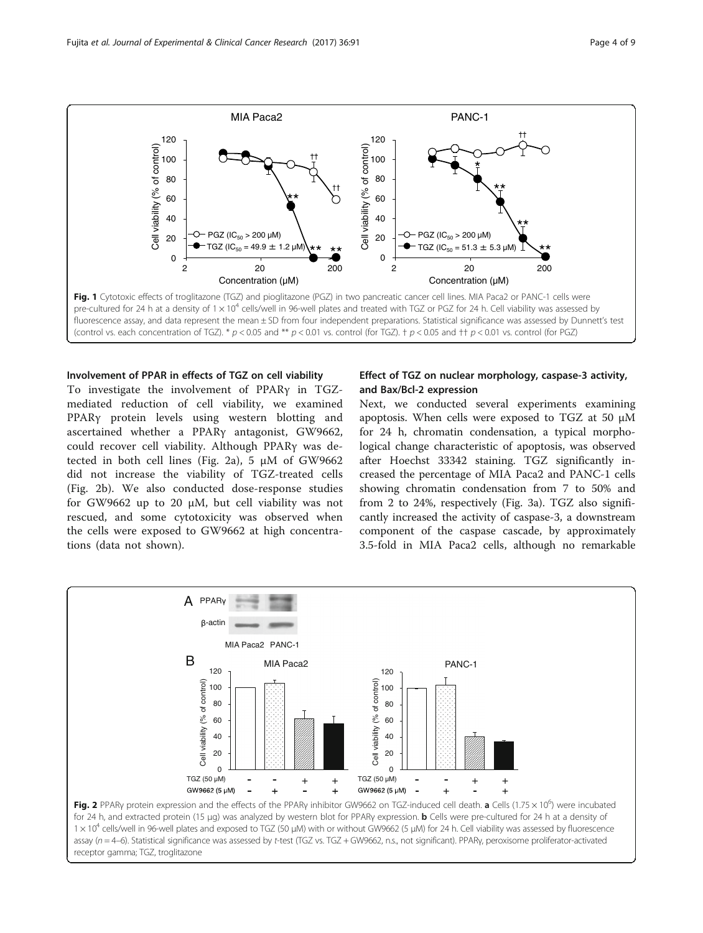<span id="page-3-0"></span>

#### Involvement of PPAR in effects of TGZ on cell viability

To investigate the involvement of PPARγ in TGZmediated reduction of cell viability, we examined PPARγ protein levels using western blotting and ascertained whether a PPARγ antagonist, GW9662, could recover cell viability. Although PPARγ was detected in both cell lines (Fig. 2a), 5  $\mu$ M of GW9662 did not increase the viability of TGZ-treated cells (Fig. 2b). We also conducted dose-response studies for GW9662 up to 20 μM, but cell viability was not rescued, and some cytotoxicity was observed when the cells were exposed to GW9662 at high concentrations (data not shown).

## Effect of TGZ on nuclear morphology, caspase-3 activity, and Bax/Bcl-2 expression

Next, we conducted several experiments examining apoptosis. When cells were exposed to TGZ at 50  $\mu$ M for 24 h, chromatin condensation, a typical morphological change characteristic of apoptosis, was observed after Hoechst 33342 staining. TGZ significantly increased the percentage of MIA Paca2 and PANC-1 cells showing chromatin condensation from 7 to 50% and from 2 to 24%, respectively (Fig. [3a\)](#page-4-0). TGZ also significantly increased the activity of caspase-3, a downstream component of the caspase cascade, by approximately 3.5-fold in MIA Paca2 cells, although no remarkable

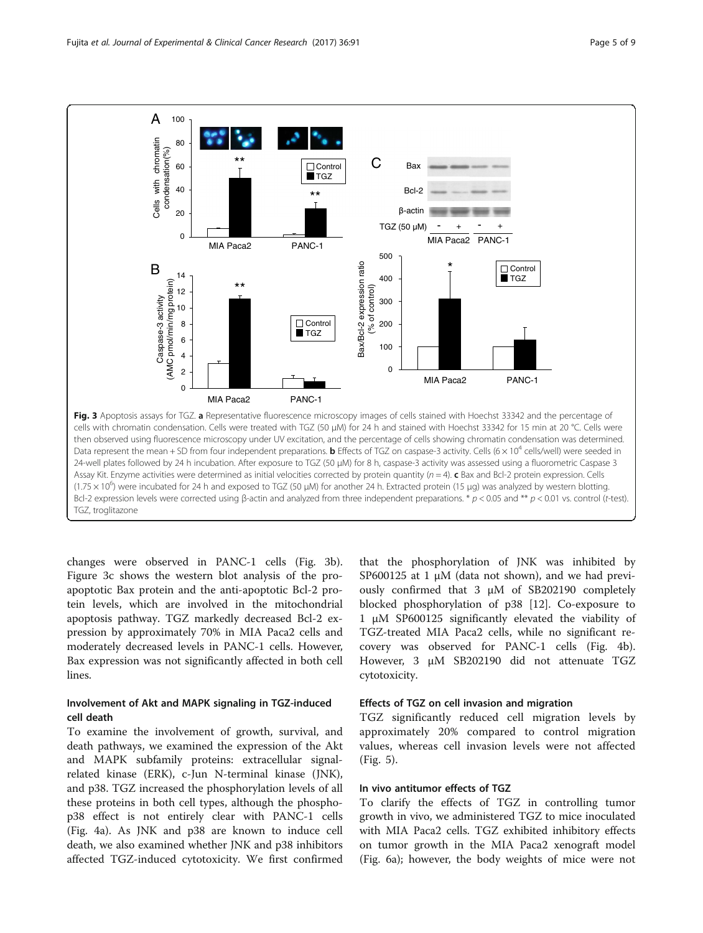<span id="page-4-0"></span>

changes were observed in PANC-1 cells (Fig. 3b). Figure 3c shows the western blot analysis of the proapoptotic Bax protein and the anti-apoptotic Bcl-2 protein levels, which are involved in the mitochondrial apoptosis pathway. TGZ markedly decreased Bcl-2 expression by approximately 70% in MIA Paca2 cells and moderately decreased levels in PANC-1 cells. However, Bax expression was not significantly affected in both cell lines.

## Involvement of Akt and MAPK signaling in TGZ-induced cell death

To examine the involvement of growth, survival, and death pathways, we examined the expression of the Akt and MAPK subfamily proteins: extracellular signalrelated kinase (ERK), c-Jun N-terminal kinase (JNK), and p38. TGZ increased the phosphorylation levels of all these proteins in both cell types, although the phosphop38 effect is not entirely clear with PANC-1 cells (Fig. [4a](#page-5-0)). As JNK and p38 are known to induce cell death, we also examined whether JNK and p38 inhibitors affected TGZ-induced cytotoxicity. We first confirmed that the phosphorylation of JNK was inhibited by SP600125 at 1  $\mu$ M (data not shown), and we had previously confirmed that 3 μM of SB202190 completely blocked phosphorylation of p38 [[12\]](#page-8-0). Co-exposure to 1 μM SP600125 significantly elevated the viability of TGZ-treated MIA Paca2 cells, while no significant recovery was observed for PANC-1 cells (Fig. [4b](#page-5-0)). However, 3 μM SB202190 did not attenuate TGZ cytotoxicity.

## Effects of TGZ on cell invasion and migration

TGZ significantly reduced cell migration levels by approximately 20% compared to control migration values, whereas cell invasion levels were not affected (Fig. [5\)](#page-5-0).

#### In vivo antitumor effects of TGZ

To clarify the effects of TGZ in controlling tumor growth in vivo, we administered TGZ to mice inoculated with MIA Paca2 cells. TGZ exhibited inhibitory effects on tumor growth in the MIA Paca2 xenograft model (Fig. [6a](#page-6-0)); however, the body weights of mice were not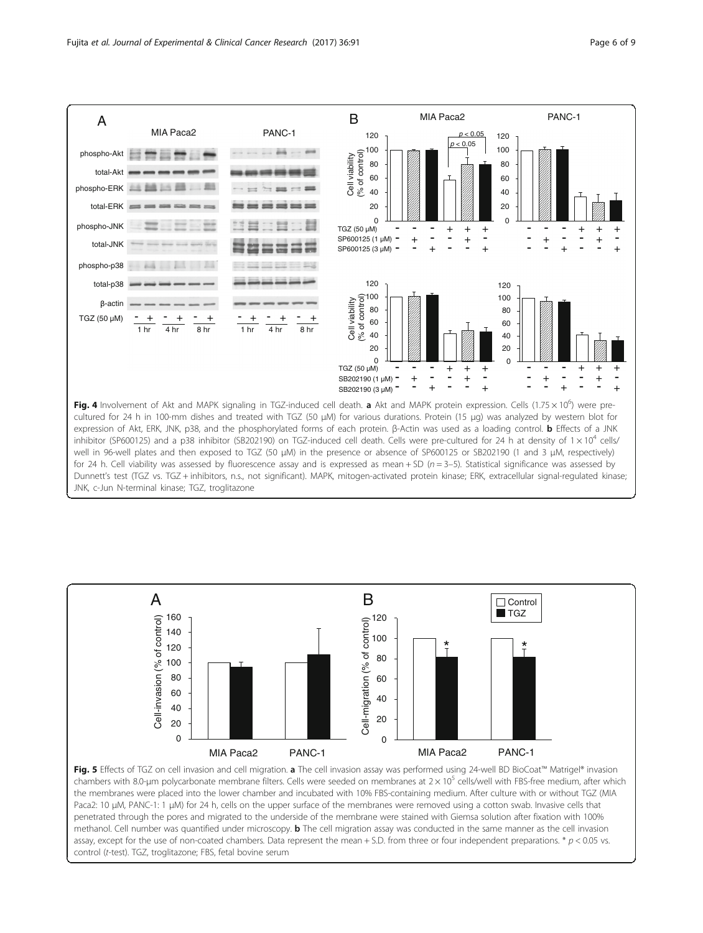<span id="page-5-0"></span>

for 24 h. Cell viability was assessed by fluorescence assay and is expressed as mean + SD ( $n = 3-5$ ). Statistical significance was assessed by Dunnett's test (TGZ vs. TGZ + inhibitors, n.s., not significant). MAPK, mitogen-activated protein kinase; ERK, extracellular signal-regulated kinase; JNK, c-Jun N-terminal kinase; TGZ, troglitazone



the membranes were placed into the lower chamber and incubated with 10% FBS-containing medium. After culture with or without TGZ (MIA Paca2: 10 μM, PANC-1: 1 μM) for 24 h, cells on the upper surface of the membranes were removed using a cotton swab. Invasive cells that penetrated through the pores and migrated to the underside of the membrane were stained with Giemsa solution after fixation with 100% methanol. Cell number was quantified under microscopy. **b** The cell migration assay was conducted in the same manner as the cell invasion assay, except for the use of non-coated chambers. Data represent the mean  $+$  S.D. from three or four independent preparations.  $* p < 0.05$  vs. control (t-test). TGZ, troglitazone; FBS, fetal bovine serum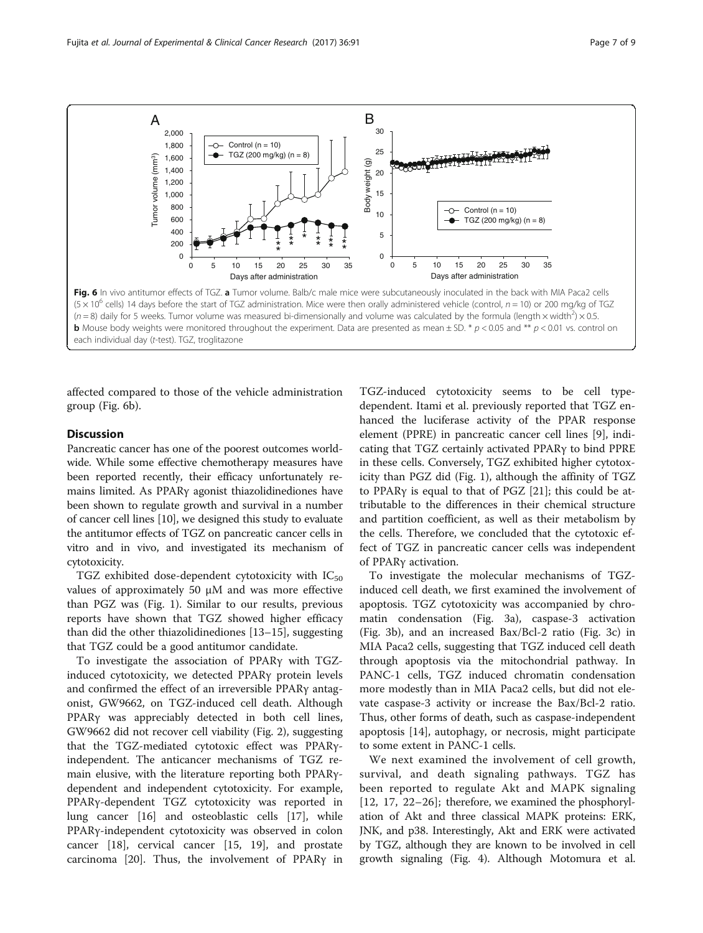affected compared to those of the vehicle administration group (Fig. 6b).

200 400 600 800 1,000 1,200 1,400 1,600 1,800 2,000

Tumor volume (mm3)

Tumor volume (mm<sup>3</sup>)

each individual day (t-test). TGZ, troglitazone

## Discussion

Pancreatic cancer has one of the poorest outcomes worldwide. While some effective chemotherapy measures have been reported recently, their efficacy unfortunately remains limited. As PPARγ agonist thiazolidinediones have been shown to regulate growth and survival in a number of cancer cell lines [[10](#page-8-0)], we designed this study to evaluate the antitumor effects of TGZ on pancreatic cancer cells in vitro and in vivo, and investigated its mechanism of cytotoxicity.

TGZ exhibited dose-dependent cytotoxicity with  $IC_{50}$ values of approximately 50 μM and was more effective than PGZ was (Fig. [1\)](#page-3-0). Similar to our results, previous reports have shown that TGZ showed higher efficacy than did the other thiazolidinediones [\[13](#page-8-0)–[15\]](#page-8-0), suggesting that TGZ could be a good antitumor candidate.

To investigate the association of PPARγ with TGZinduced cytotoxicity, we detected PPARγ protein levels and confirmed the effect of an irreversible PPARγ antagonist, GW9662, on TGZ-induced cell death. Although PPARγ was appreciably detected in both cell lines, GW9662 did not recover cell viability (Fig. [2\)](#page-3-0), suggesting that the TGZ-mediated cytotoxic effect was PPARγindependent. The anticancer mechanisms of TGZ remain elusive, with the literature reporting both PPARγdependent and independent cytotoxicity. For example, PPARγ-dependent TGZ cytotoxicity was reported in lung cancer [[16](#page-8-0)] and osteoblastic cells [\[17\]](#page-8-0), while PPARγ-independent cytotoxicity was observed in colon cancer [\[18\]](#page-8-0), cervical cancer [[15, 19](#page-8-0)], and prostate carcinoma [\[20](#page-8-0)]. Thus, the involvement of PPARγ in TGZ-induced cytotoxicity seems to be cell typedependent. Itami et al. previously reported that TGZ enhanced the luciferase activity of the PPAR response element (PPRE) in pancreatic cancer cell lines [\[9](#page-8-0)], indicating that TGZ certainly activated PPARγ to bind PPRE in these cells. Conversely, TGZ exhibited higher cytotoxicity than PGZ did (Fig. [1](#page-3-0)), although the affinity of TGZ to PPARγ is equal to that of PGZ [[21\]](#page-8-0); this could be attributable to the differences in their chemical structure and partition coefficient, as well as their metabolism by the cells. Therefore, we concluded that the cytotoxic effect of TGZ in pancreatic cancer cells was independent of PPARγ activation.

Control  $(n = 10)$ TGZ (200 mg/kg) ( $n = 8$ )

To investigate the molecular mechanisms of TGZinduced cell death, we first examined the involvement of apoptosis. TGZ cytotoxicity was accompanied by chromatin condensation (Fig. [3a\)](#page-4-0), caspase-3 activation (Fig. [3b\)](#page-4-0), and an increased Bax/Bcl-2 ratio (Fig. [3c](#page-4-0)) in MIA Paca2 cells, suggesting that TGZ induced cell death through apoptosis via the mitochondrial pathway. In PANC-1 cells, TGZ induced chromatin condensation more modestly than in MIA Paca2 cells, but did not elevate caspase-3 activity or increase the Bax/Bcl-2 ratio. Thus, other forms of death, such as caspase-independent apoptosis [[14\]](#page-8-0), autophagy, or necrosis, might participate to some extent in PANC-1 cells.

We next examined the involvement of cell growth, survival, and death signaling pathways. TGZ has been reported to regulate Akt and MAPK signaling [[12](#page-8-0), [17](#page-8-0), [22](#page-8-0)–[26](#page-8-0)]; therefore, we examined the phosphorylation of Akt and three classical MAPK proteins: ERK, JNK, and p38. Interestingly, Akt and ERK were activated by TGZ, although they are known to be involved in cell growth signaling (Fig. [4](#page-5-0)). Although Motomura et al.

 $\Omega$ 0 5 10 15 20 25 30 35 \* \* \* \* \* \* \* \* \* \* \* Days after administration  $\overline{0}$ 0 5 10 15 20 25 30 35 Days after administration Fig. 6 In vivo antitumor effects of TGZ. a Tumor volume. Balb/c male mice were subcutaneously inoculated in the back with MIA Paca2 cells  $(5 \times 10^6$  cells) 14 days before the start of TGZ administration. Mice were then orally administered vehicle (control,  $n = 10$ ) or 200 mg/kg of TGZ ( $n = 8$ ) daily for 5 weeks. Tumor volume was measured bi-dimensionally and volume was calculated by the formula (length  $\times$  width<sup>2</sup>)  $\times$  0.5. **b** Mouse body weights were monitored throughout the experiment. Data are presented as mean  $\pm$  SD. \*  $p$  < 0.05 and \*\*  $p$  < 0.01 vs. control on

Body weight (g)

Body weight (g)

<span id="page-6-0"></span>A B

Control  $(n = 10)$ TGZ (200 mg/kg) ( $n = 8$ )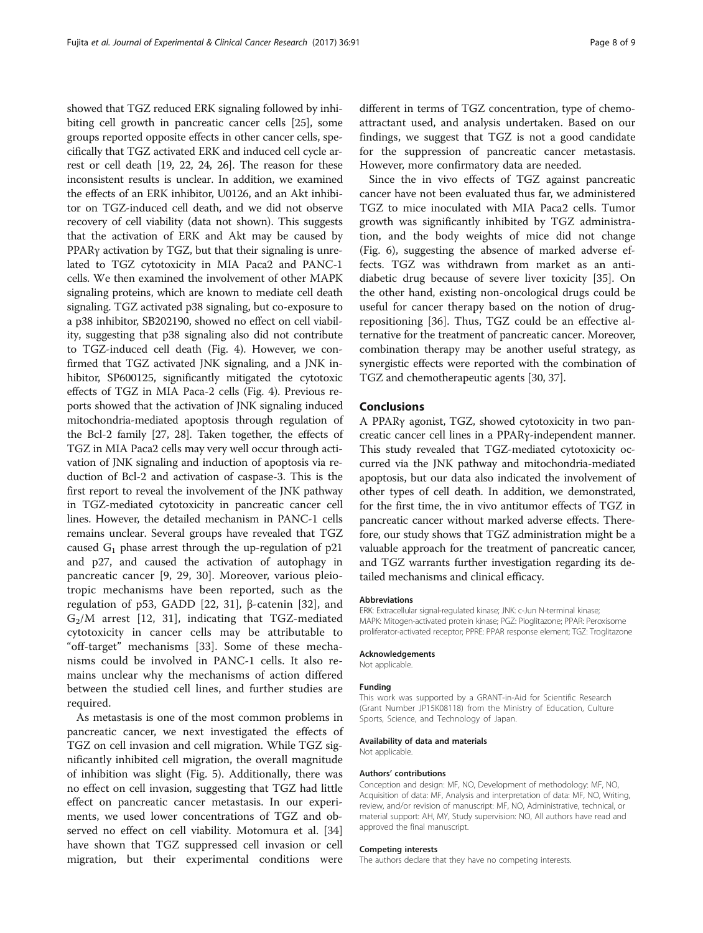showed that TGZ reduced ERK signaling followed by inhibiting cell growth in pancreatic cancer cells [[25](#page-8-0)], some groups reported opposite effects in other cancer cells, specifically that TGZ activated ERK and induced cell cycle arrest or cell death [\[19, 22, 24, 26\]](#page-8-0). The reason for these inconsistent results is unclear. In addition, we examined the effects of an ERK inhibitor, U0126, and an Akt inhibitor on TGZ-induced cell death, and we did not observe recovery of cell viability (data not shown). This suggests that the activation of ERK and Akt may be caused by PPARγ activation by TGZ, but that their signaling is unrelated to TGZ cytotoxicity in MIA Paca2 and PANC-1 cells. We then examined the involvement of other MAPK signaling proteins, which are known to mediate cell death signaling. TGZ activated p38 signaling, but co-exposure to a p38 inhibitor, SB202190, showed no effect on cell viability, suggesting that p38 signaling also did not contribute to TGZ-induced cell death (Fig. [4](#page-5-0)). However, we confirmed that TGZ activated JNK signaling, and a JNK inhibitor, SP600125, significantly mitigated the cytotoxic effects of TGZ in MIA Paca-2 cells (Fig. [4](#page-5-0)). Previous reports showed that the activation of JNK signaling induced mitochondria-mediated apoptosis through regulation of the Bcl-2 family [[27](#page-8-0), [28](#page-8-0)]. Taken together, the effects of TGZ in MIA Paca2 cells may very well occur through activation of JNK signaling and induction of apoptosis via reduction of Bcl-2 and activation of caspase-3. This is the first report to reveal the involvement of the JNK pathway in TGZ-mediated cytotoxicity in pancreatic cancer cell lines. However, the detailed mechanism in PANC-1 cells remains unclear. Several groups have revealed that TGZ caused  $G_1$  phase arrest through the up-regulation of p21 and p27, and caused the activation of autophagy in pancreatic cancer [[9](#page-8-0), [29, 30](#page-8-0)]. Moreover, various pleiotropic mechanisms have been reported, such as the regulation of p53, GADD [[22](#page-8-0), [31\]](#page-8-0), β-catenin [[32\]](#page-8-0), and  $G<sub>2</sub>/M$  arrest [\[12](#page-8-0), [31\]](#page-8-0), indicating that TGZ-mediated cytotoxicity in cancer cells may be attributable to "off-target" mechanisms [[33\]](#page-8-0). Some of these mechanisms could be involved in PANC-1 cells. It also remains unclear why the mechanisms of action differed between the studied cell lines, and further studies are required.

As metastasis is one of the most common problems in pancreatic cancer, we next investigated the effects of TGZ on cell invasion and cell migration. While TGZ significantly inhibited cell migration, the overall magnitude of inhibition was slight (Fig. [5\)](#page-5-0). Additionally, there was no effect on cell invasion, suggesting that TGZ had little effect on pancreatic cancer metastasis. In our experiments, we used lower concentrations of TGZ and observed no effect on cell viability. Motomura et al. [[34](#page-8-0)] have shown that TGZ suppressed cell invasion or cell migration, but their experimental conditions were

different in terms of TGZ concentration, type of chemoattractant used, and analysis undertaken. Based on our findings, we suggest that TGZ is not a good candidate for the suppression of pancreatic cancer metastasis. However, more confirmatory data are needed.

Since the in vivo effects of TGZ against pancreatic cancer have not been evaluated thus far, we administered TGZ to mice inoculated with MIA Paca2 cells. Tumor growth was significantly inhibited by TGZ administration, and the body weights of mice did not change (Fig. [6](#page-6-0)), suggesting the absence of marked adverse effects. TGZ was withdrawn from market as an antidiabetic drug because of severe liver toxicity [[35](#page-8-0)]. On the other hand, existing non-oncological drugs could be useful for cancer therapy based on the notion of drugrepositioning [[36\]](#page-8-0). Thus, TGZ could be an effective alternative for the treatment of pancreatic cancer. Moreover, combination therapy may be another useful strategy, as synergistic effects were reported with the combination of TGZ and chemotherapeutic agents [\[30](#page-8-0), [37](#page-8-0)].

#### Conclusions

A PPARγ agonist, TGZ, showed cytotoxicity in two pancreatic cancer cell lines in a PPARγ-independent manner. This study revealed that TGZ-mediated cytotoxicity occurred via the JNK pathway and mitochondria-mediated apoptosis, but our data also indicated the involvement of other types of cell death. In addition, we demonstrated, for the first time, the in vivo antitumor effects of TGZ in pancreatic cancer without marked adverse effects. Therefore, our study shows that TGZ administration might be a valuable approach for the treatment of pancreatic cancer, and TGZ warrants further investigation regarding its detailed mechanisms and clinical efficacy.

#### Abbreviations

ERK: Extracellular signal-regulated kinase; JNK: c-Jun N-terminal kinase; MAPK: Mitogen-activated protein kinase; PGZ: Pioglitazone; PPAR: Peroxisome proliferator-activated receptor; PPRE: PPAR response element; TGZ: Troglitazone

#### Acknowledgements

Not applicable.

#### Funding

This work was supported by a GRANT-in-Aid for Scientific Research (Grant Number JP15K08118) from the Ministry of Education, Culture Sports, Science, and Technology of Japan.

#### Availability of data and materials

Not applicable.

#### Authors' contributions

Conception and design: MF, NO, Development of methodology: MF, NO, Acquisition of data: MF, Analysis and interpretation of data: MF, NO, Writing, review, and/or revision of manuscript: MF, NO, Administrative, technical, or material support: AH, MY, Study supervision: NO, All authors have read and approved the final manuscript.

#### Competing interests

The authors declare that they have no competing interests.